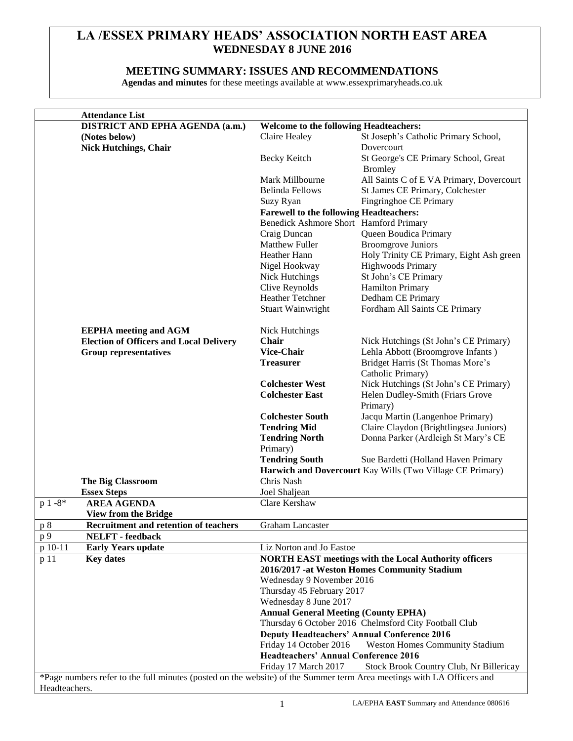# **LA /ESSEX PRIMARY HEADS' ASSOCIATION NORTH EAST AREA WEDNESDAY 8 JUNE 2016**

#### **MEETING SUMMARY: ISSUES AND RECOMMENDATIONS**

**Agendas and minutes** for these meetings available at www.essexprimaryheads.co.uk

|               | <b>Attendance List</b>                                                                                                |                                                              |                                                           |  |  |
|---------------|-----------------------------------------------------------------------------------------------------------------------|--------------------------------------------------------------|-----------------------------------------------------------|--|--|
|               | DISTRICT AND EPHA AGENDA (a.m.)                                                                                       | <b>Welcome to the following Headteachers:</b>                |                                                           |  |  |
|               | (Notes below)                                                                                                         | Claire Healey                                                | St Joseph's Catholic Primary School,                      |  |  |
|               | <b>Nick Hutchings, Chair</b>                                                                                          |                                                              | Dovercourt                                                |  |  |
|               |                                                                                                                       | Becky Keitch                                                 | St George's CE Primary School, Great                      |  |  |
|               |                                                                                                                       |                                                              | <b>Bromley</b>                                            |  |  |
|               |                                                                                                                       | Mark Millbourne                                              | All Saints C of E VA Primary, Dovercourt                  |  |  |
|               |                                                                                                                       | <b>Belinda Fellows</b>                                       | St James CE Primary, Colchester                           |  |  |
|               |                                                                                                                       | Suzy Ryan                                                    | Fingringhoe CE Primary                                    |  |  |
|               |                                                                                                                       | <b>Farewell to the following Headteachers:</b>               |                                                           |  |  |
|               |                                                                                                                       | Benedick Ashmore Short Hamford Primary                       |                                                           |  |  |
|               |                                                                                                                       | Craig Duncan                                                 | Queen Boudica Primary                                     |  |  |
|               |                                                                                                                       | Matthew Fuller                                               | <b>Broomgrove Juniors</b>                                 |  |  |
|               |                                                                                                                       | Heather Hann                                                 | Holy Trinity CE Primary, Eight Ash green                  |  |  |
|               |                                                                                                                       | Nigel Hookway                                                | <b>Highwoods Primary</b>                                  |  |  |
|               |                                                                                                                       | Nick Hutchings                                               | St John's CE Primary                                      |  |  |
|               |                                                                                                                       | Clive Reynolds                                               | <b>Hamilton Primary</b>                                   |  |  |
|               |                                                                                                                       | <b>Heather Tetchner</b>                                      | Dedham CE Primary                                         |  |  |
|               |                                                                                                                       | <b>Stuart Wainwright</b>                                     | Fordham All Saints CE Primary                             |  |  |
|               |                                                                                                                       |                                                              |                                                           |  |  |
|               | <b>EEPHA</b> meeting and AGM                                                                                          | Nick Hutchings                                               |                                                           |  |  |
|               | <b>Election of Officers and Local Delivery</b>                                                                        | <b>Chair</b>                                                 | Nick Hutchings (St John's CE Primary)                     |  |  |
|               | <b>Group representatives</b>                                                                                          | <b>Vice-Chair</b>                                            | Lehla Abbott (Broomgrove Infants)                         |  |  |
|               |                                                                                                                       | <b>Treasurer</b>                                             | Bridget Harris (St Thomas More's                          |  |  |
|               |                                                                                                                       |                                                              | Catholic Primary)                                         |  |  |
|               |                                                                                                                       | <b>Colchester West</b>                                       | Nick Hutchings (St John's CE Primary)                     |  |  |
|               |                                                                                                                       | <b>Colchester East</b>                                       | Helen Dudley-Smith (Friars Grove                          |  |  |
|               |                                                                                                                       |                                                              | Primary)                                                  |  |  |
|               |                                                                                                                       | <b>Colchester South</b>                                      | Jacqu Martin (Langenhoe Primary)                          |  |  |
|               |                                                                                                                       | <b>Tendring Mid</b>                                          | Claire Claydon (Brightlingsea Juniors)                    |  |  |
|               |                                                                                                                       | <b>Tendring North</b>                                        | Donna Parker (Ardleigh St Mary's CE                       |  |  |
|               |                                                                                                                       | Primary)                                                     |                                                           |  |  |
|               |                                                                                                                       | <b>Tendring South</b>                                        | Sue Bardetti (Holland Haven Primary                       |  |  |
|               |                                                                                                                       |                                                              | Harwich and Dovercourt Kay Wills (Two Village CE Primary) |  |  |
|               | <b>The Big Classroom</b>                                                                                              | Chris Nash                                                   |                                                           |  |  |
|               | <b>Essex Steps</b>                                                                                                    | Joel Shaljean                                                |                                                           |  |  |
|               | <b>AREA AGENDA</b>                                                                                                    |                                                              |                                                           |  |  |
| $p 1 - 8*$    | <b>View from the Bridge</b>                                                                                           | Clare Kershaw                                                |                                                           |  |  |
| p 8           | <b>Recruitment and retention of teachers</b>                                                                          | Graham Lancaster                                             |                                                           |  |  |
| p 9           | <b>NELFT</b> - feedback                                                                                               |                                                              |                                                           |  |  |
| p 10-11       | <b>Early Years update</b>                                                                                             | Liz Norton and Jo Eastoe                                     |                                                           |  |  |
| p 11          | <b>Key dates</b>                                                                                                      | <b>NORTH EAST meetings with the Local Authority officers</b> |                                                           |  |  |
|               |                                                                                                                       | 2016/2017 -at Weston Homes Community Stadium                 |                                                           |  |  |
|               |                                                                                                                       | Wednesday 9 November 2016                                    |                                                           |  |  |
|               |                                                                                                                       | Thursday 45 February 2017                                    |                                                           |  |  |
|               |                                                                                                                       | Wednesday 8 June 2017                                        |                                                           |  |  |
|               |                                                                                                                       | <b>Annual General Meeting (County EPHA)</b>                  |                                                           |  |  |
|               |                                                                                                                       |                                                              | Thursday 6 October 2016 Chelmsford City Football Club     |  |  |
|               |                                                                                                                       |                                                              | <b>Deputy Headteachers' Annual Conference 2016</b>        |  |  |
|               |                                                                                                                       | Friday 14 October 2016                                       | <b>Weston Homes Community Stadium</b>                     |  |  |
|               |                                                                                                                       | <b>Headteachers' Annual Conference 2016</b>                  |                                                           |  |  |
|               |                                                                                                                       | Friday 17 March 2017                                         | Stock Brook Country Club, Nr Billericay                   |  |  |
|               | *Page numbers refer to the full minutes (posted on the website) of the Summer term Area meetings with LA Officers and |                                                              |                                                           |  |  |
|               |                                                                                                                       |                                                              |                                                           |  |  |
| Headteachers. |                                                                                                                       |                                                              |                                                           |  |  |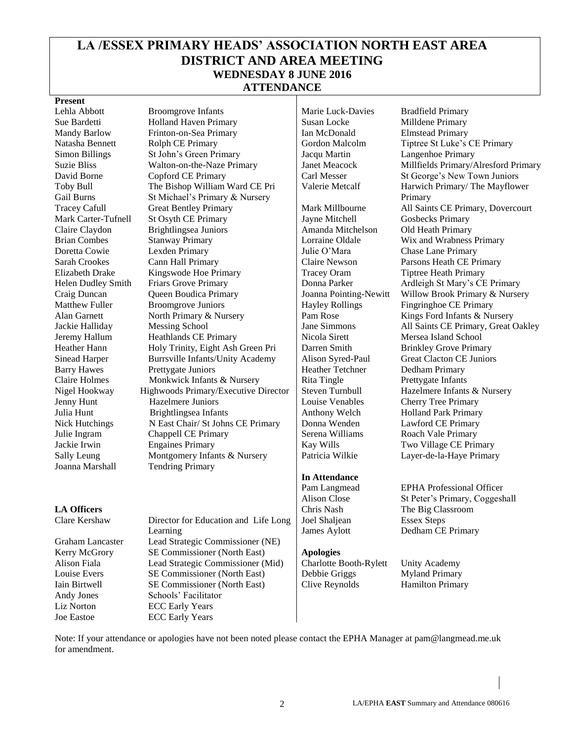# **LA /ESSEX PRIMARY HEADS' ASSOCIATION NORTH EAST AREA DISTRICT AND AREA MEETING WEDNESDAY 8 JUNE 2016 ATTENDANCE**

#### **Present**

Sue Bardetti **Holland Haven Primary** Susan Locke Milldene Primary Mandy Barlow Frinton-on-Sea Primary Ian McDonald Elmstead Primary Simon Billings St John's Green Primary Jacqu Martin Langenhoe Primary Toby Bull Gail Burns

#### Brian Combes Stanway Primary Lorraine Oldale Wix and Wrabness Primary Doretta Cowie Lexden Primary Julie O'Mara Chase Lane Primary Sarah Crookes Cann Hall Primary Claire Newson Parsons Heath CE Primary Elizabeth Drake Kingswode Hoe Primary Tracey Oram Tiptree Heath Primary Helen Dudley Smith Friars Grove Primary | Donna Parker Ardleigh St Mary's CE Primary Craig Duncan Queen Boudica Primary Joanna Pointing-Newitt Willow Brook Primary & Nursery<br>Matthew Fuller Broomerove Juniors Havley Rollings Fingringhoe CE Primary Broomgrove Juniors Hayley Rollings Fingringhoe CE Primary Alan Garnett North Primary & Nursery Pam Rose Kings Ford Infants & Nursery Jackie Halliday Messing School Jane Simmons All Saints CE Primary, Great Oakley Jeremy Hallum Heathlands CE Primary Nicola Sirett Mersea Island School Heather Hann Holy Trinity, Eight Ash Green Pri Darren Smith Brinkley Grove Primary Sinead Harper Burrsville Infants/Unity Academy Alison Syred-Paul Great Clacton CE Juniors Barry Hawes Prettygate Juniors Heather Tetchner Dedham Primary Claire Holmes Monkwick Infants & Nursery Rita Tingle Prettygate Infants Nigel Hookway Highwoods Primary/Executive Director Steven Turnbull Hazelmere Infants & Nursery Jenny Hunt Hazelmere Juniors Louise Venables Cherry Tree Primary Julia Hunt Brightlingsea Infants Anthony Welch Holland Park Primary Nick Hutchings N East Chair/ St Johns CE Primary Donna Wenden Lawford CE Primary Julie Ingram Chappell CE Primary Serena Williams Roach Vale Primary Jackie Irwin Engaines Primary Ray Wills Two Village CE Primary Sally Leung Montgomery Infants & Nursery Patricia Wilkie Layer-de-la-Haye Primary Joanna Marshall Tendring Primary **LA Officers Chris Nash School Class Classroom**<br>
Clare Kershaw Director for Education and Life Long | Joel Shaljean Essex Steps Director for Education and Life Long Learning

Graham Lancaster Lead Strategic Commissioner (NE)

Andy Jones Schools' Facilitator Liz Norton ECC Early Years Joe Eastoe ECC Early Years

The Bishop William Ward CE Pri St Michael's Primary & Nursery

Mark Carter-Tufnell St Osyth CE Primary Jayne Mitchell Gosbecks Primary Claire Claydon Brightlingsea Juniors | Amanda Mitchelson Old Heath Primary

# Lehla Abbott Broomgrove Infants Marie Luck-Davies Bradfield Primary Natasha Bennett Rolph CE Primary Gordon Malcolm Tiptree St Luke's CE Primary Suzie Bliss Walton-on-the-Naze Primary Janet Meacock Millfields Primary/Alresford Primary David Borne Copford CE Primary Carl Messer St George's New Town Juniors Valerie Metcalf Harwich Primary/ The Mayflower Primary Tracey Cafull Great Bentley Primary Nark Millbourne All Saints CE Primary, Dovercourt

**In Attendance** 

Pam Langmead EPHA Professional Officer Alison Close St Peter's Primary, Coggeshall Joel Shaljean James Aylott

# Kerry McGrory SE Commissioner (North East) **Apologies**

Louise Evers SE Commissioner (North East) Debbie Griggs Myland Primary Iain Birtwell SE Commissioner (North East) Clive Reynolds Hamilton Primary

Essex Steps Dedham CE Primary

Alison Fiala Lead Strategic Commissioner (Mid) Charlotte Booth-Rylett Unity Academy

Note: If your attendance or apologies have not been noted please contact the EPHA Manager at pam@langmead.me.uk for amendment.

2 LA/EPHA **EAST** Summary and Attendance 080616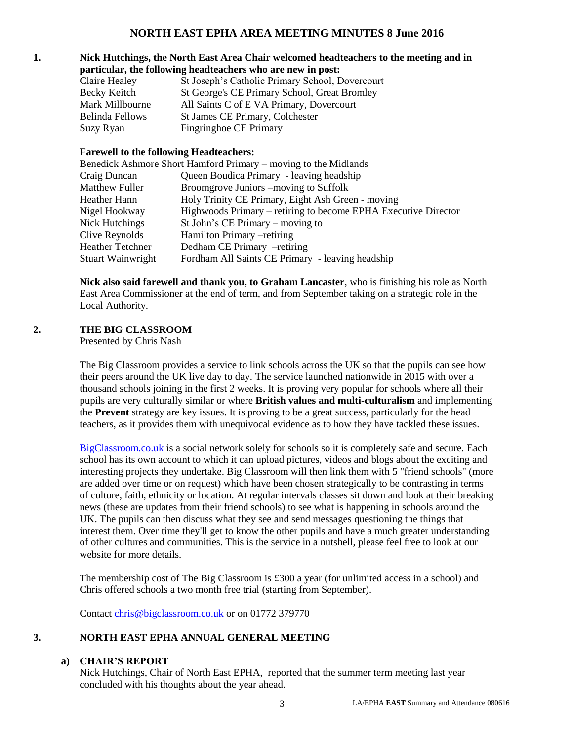### **NORTH EAST EPHA AREA MEETING MINUTES 8 June 2016**

#### **1. Nick Hutchings, the North East Area Chair welcomed headteachers to the meeting and in particular, the following headteachers who are new in post:**

| particular, the following headteachers who are new in post. |                                                 |  |  |  |
|-------------------------------------------------------------|-------------------------------------------------|--|--|--|
| Claire Healey                                               | St Joseph's Catholic Primary School, Dovercourt |  |  |  |
| Becky Keitch                                                | St George's CE Primary School, Great Bromley    |  |  |  |
| Mark Millbourne                                             | All Saints C of E VA Primary, Dovercourt        |  |  |  |
| Belinda Fellows                                             | St James CE Primary, Colchester                 |  |  |  |
| Suzy Ryan                                                   | Fingringhoe CE Primary                          |  |  |  |

#### **Farewell to the following Headteachers:**

| Benedick Ashmore Short Hamford Primary – moving to the Midlands |  |  |  |  |
|-----------------------------------------------------------------|--|--|--|--|
| Queen Boudica Primary - leaving headship                        |  |  |  |  |
| Broomgrove Juniors – moving to Suffolk                          |  |  |  |  |
| Holy Trinity CE Primary, Eight Ash Green - moving               |  |  |  |  |
| Highwoods Primary – retiring to become EPHA Executive Director  |  |  |  |  |
| St John's CE Primary – moving to                                |  |  |  |  |
| Hamilton Primary -retiring                                      |  |  |  |  |
| Dedham CE Primary -retiring                                     |  |  |  |  |
| Fordham All Saints CE Primary - leaving headship                |  |  |  |  |
|                                                                 |  |  |  |  |

**Nick also said farewell and thank you, to Graham Lancaster**, who is finishing his role as North East Area Commissioner at the end of term, and from September taking on a strategic role in the Local Authority.

#### **2. THE BIG CLASSROOM**

Presented by Chris Nash

The Big Classroom provides a service to link schools across the UK so that the pupils can see how their peers around the UK live day to day. The service launched nationwide in 2015 with over a thousand schools joining in the first 2 weeks. It is proving very popular for schools where all their pupils are very culturally similar or where **British values and multi-culturalism** and implementing the **Prevent** strategy are key issues. It is proving to be a great success, particularly for the head teachers, as it provides them with unequivocal evidence as to how they have tackled these issues.

[BigClassroom.co.uk](http://bigclassroom.co.uk/) is a social network solely for schools so it is completely safe and secure. Each school has its own account to which it can upload pictures, videos and blogs about the exciting and interesting projects they undertake. Big Classroom will then link them with 5 "friend schools" (more are added over time or on request) which have been chosen strategically to be contrasting in terms of culture, faith, ethnicity or location. At regular intervals classes sit down and look at their breaking news (these are updates from their friend schools) to see what is happening in schools around the UK. The pupils can then discuss what they see and send messages questioning the things that interest them. Over time they'll get to know the other pupils and have a much greater understanding of other cultures and communities. This is the service in a nutshell, please feel free to look at our website for more details.

The membership cost of The Big Classroom is £300 a year (for unlimited access in a school) and Chris offered schools a two month free trial (starting from September).

Contact [chris@bigclassroom.co.uk](mailto:chris@bigclassroom.co.uk) or on 01772 379770

#### **3. NORTH EAST EPHA ANNUAL GENERAL MEETING**

#### **a) CHAIR'S REPORT**

Nick Hutchings, Chair of North East EPHA, reported that the summer term meeting last year concluded with his thoughts about the year ahead.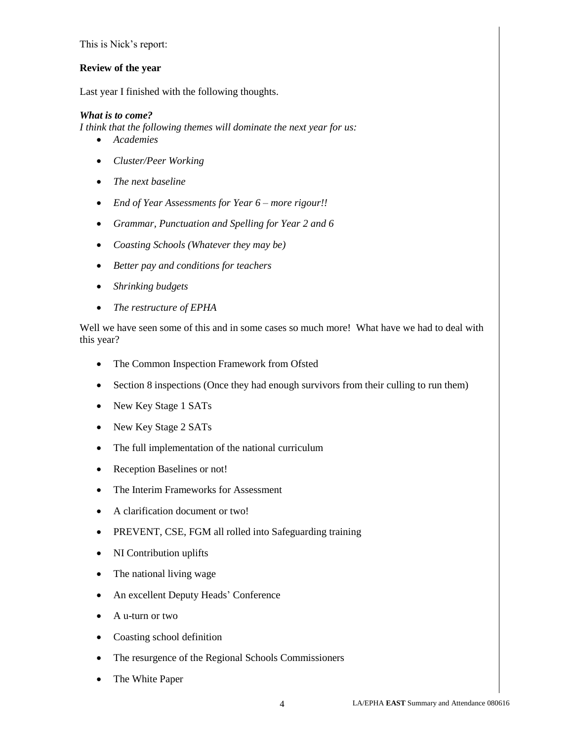This is Nick's report:

#### **Review of the year**

Last year I finished with the following thoughts.

#### *What is to come?*

*I think that the following themes will dominate the next year for us:*

- *Academies*
- *Cluster/Peer Working*
- *The next baseline*
- *End of Year Assessments for Year 6 – more rigour!!*
- *Grammar, Punctuation and Spelling for Year 2 and 6*
- *Coasting Schools (Whatever they may be)*
- *Better pay and conditions for teachers*
- *Shrinking budgets*
- *The restructure of EPHA*

Well we have seen some of this and in some cases so much more! What have we had to deal with this year?

- The Common Inspection Framework from Ofsted
- Section 8 inspections (Once they had enough survivors from their culling to run them)
- New Key Stage 1 SATs
- New Key Stage 2 SATs
- The full implementation of the national curriculum
- Reception Baselines or not!
- The Interim Frameworks for Assessment
- A clarification document or two!
- PREVENT, CSE, FGM all rolled into Safeguarding training
- NI Contribution uplifts
- The national living wage
- An excellent Deputy Heads' Conference
- A u-turn or two
- Coasting school definition
- The resurgence of the Regional Schools Commissioners
- The White Paper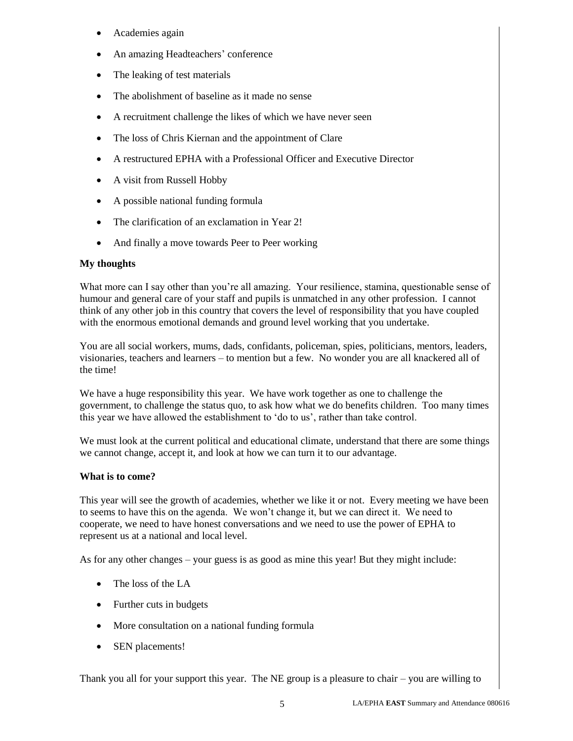- Academies again
- An amazing Headteachers' conference
- The leaking of test materials
- The abolishment of baseline as it made no sense
- A recruitment challenge the likes of which we have never seen
- The loss of Chris Kiernan and the appointment of Clare
- A restructured EPHA with a Professional Officer and Executive Director
- A visit from Russell Hobby
- A possible national funding formula
- The clarification of an exclamation in Year 2!
- And finally a move towards Peer to Peer working

#### **My thoughts**

What more can I say other than you're all amazing. Your resilience, stamina, questionable sense of humour and general care of your staff and pupils is unmatched in any other profession. I cannot think of any other job in this country that covers the level of responsibility that you have coupled with the enormous emotional demands and ground level working that you undertake.

You are all social workers, mums, dads, confidants, policeman, spies, politicians, mentors, leaders, visionaries, teachers and learners – to mention but a few. No wonder you are all knackered all of the time!

We have a huge responsibility this year. We have work together as one to challenge the government, to challenge the status quo, to ask how what we do benefits children. Too many times this year we have allowed the establishment to 'do to us', rather than take control.

We must look at the current political and educational climate, understand that there are some things we cannot change, accept it, and look at how we can turn it to our advantage.

#### **What is to come?**

This year will see the growth of academies, whether we like it or not. Every meeting we have been to seems to have this on the agenda. We won't change it, but we can direct it. We need to cooperate, we need to have honest conversations and we need to use the power of EPHA to represent us at a national and local level.

As for any other changes – your guess is as good as mine this year! But they might include:

- The loss of the LA
- Further cuts in budgets
- More consultation on a national funding formula
- SEN placements!

Thank you all for your support this year. The NE group is a pleasure to chair – you are willing to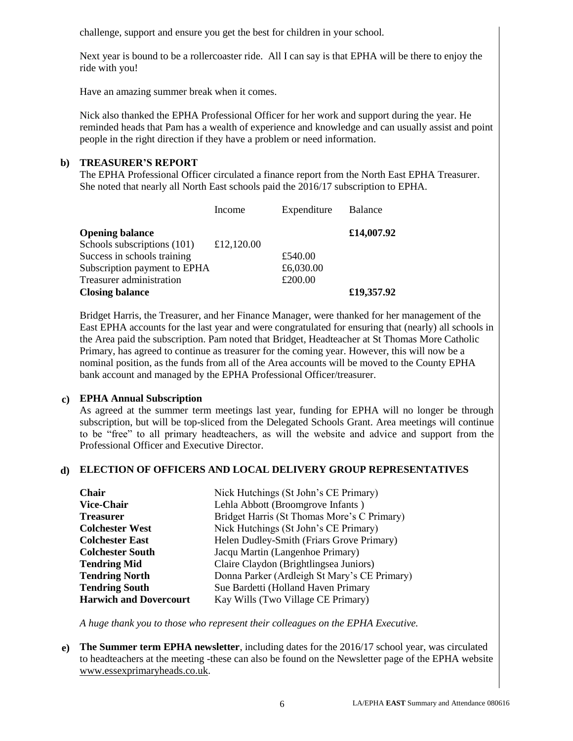challenge, support and ensure you get the best for children in your school.

Next year is bound to be a rollercoaster ride. All I can say is that EPHA will be there to enjoy the ride with you!

Have an amazing summer break when it comes.

Nick also thanked the EPHA Professional Officer for her work and support during the year. He reminded heads that Pam has a wealth of experience and knowledge and can usually assist and point people in the right direction if they have a problem or need information.

#### **b) TREASURER'S REPORT**

The EPHA Professional Officer circulated a finance report from the North East EPHA Treasurer. She noted that nearly all North East schools paid the 2016/17 subscription to EPHA.

|                              | Income     | Expenditure | <b>Balance</b> |
|------------------------------|------------|-------------|----------------|
| <b>Opening balance</b>       |            |             | £14,007.92     |
| Schools subscriptions (101)  | £12,120.00 |             |                |
| Success in schools training  |            | £540.00     |                |
| Subscription payment to EPHA |            | £6,030.00   |                |
| Treasurer administration     |            | £200.00     |                |
| <b>Closing balance</b>       |            |             | £19,357.92     |

Bridget Harris, the Treasurer, and her Finance Manager, were thanked for her management of the East EPHA accounts for the last year and were congratulated for ensuring that (nearly) all schools in the Area paid the subscription. Pam noted that Bridget, Headteacher at St Thomas More Catholic Primary, has agreed to continue as treasurer for the coming year. However, this will now be a nominal position, as the funds from all of the Area accounts will be moved to the County EPHA bank account and managed by the EPHA Professional Officer/treasurer.

#### **c) EPHA Annual Subscription**

As agreed at the summer term meetings last year, funding for EPHA will no longer be through subscription, but will be top-sliced from the Delegated Schools Grant. Area meetings will continue to be "free" to all primary headteachers, as will the website and advice and support from the Professional Officer and Executive Director.

#### **d) ELECTION OF OFFICERS AND LOCAL DELIVERY GROUP REPRESENTATIVES**

| Chair                         | Nick Hutchings (St John's CE Primary)        |
|-------------------------------|----------------------------------------------|
| <b>Vice-Chair</b>             | Lehla Abbott (Broomgrove Infants)            |
| <b>Treasurer</b>              | Bridget Harris (St Thomas More's C Primary)  |
| <b>Colchester West</b>        | Nick Hutchings (St John's CE Primary)        |
| <b>Colchester East</b>        | Helen Dudley-Smith (Friars Grove Primary)    |
| <b>Colchester South</b>       | Jacqu Martin (Langenhoe Primary)             |
| <b>Tendring Mid</b>           | Claire Claydon (Brightlingsea Juniors)       |
| <b>Tendring North</b>         | Donna Parker (Ardleigh St Mary's CE Primary) |
| <b>Tendring South</b>         | Sue Bardetti (Holland Haven Primary          |
| <b>Harwich and Dovercourt</b> | Kay Wills (Two Village CE Primary)           |

*A huge thank you to those who represent their colleagues on the EPHA Executive.* 

**e) The Summer term EPHA newsletter**, including dates for the 2016/17 school year, was circulated to headteachers at the meeting -these can also be found on the Newsletter page of the EPHA website [www.essexprimaryheads.co.uk.](http://www.essexprimaryheads.co.uk/)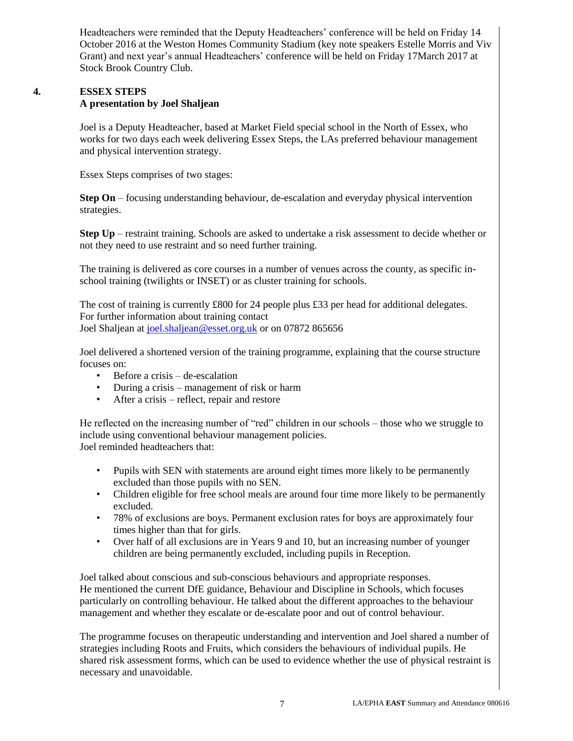Headteachers were reminded that the Deputy Headteachers' conference will be held on Friday 14 October 2016 at the Weston Homes Community Stadium (key note speakers Estelle Morris and Viv Grant) and next year's annual Headteachers' conference will be held on Friday 17March 2017 at Stock Brook Country Club.

#### **4. ESSEX STEPS A presentation by Joel Shaljean**

Joel is a Deputy Headteacher, based at Market Field special school in the North of Essex, who works for two days each week delivering Essex Steps, the LAs preferred behaviour management and physical intervention strategy.

Essex Steps comprises of two stages:

**Step On** – focusing understanding behaviour, de-escalation and everyday physical intervention strategies.

**Step Up** – restraint training. Schools are asked to undertake a risk assessment to decide whether or not they need to use restraint and so need further training.

The training is delivered as core courses in a number of venues across the county, as specific inschool training (twilights or INSET) or as cluster training for schools.

The cost of training is currently £800 for 24 people plus £33 per head for additional delegates. For further information about training contact Joel Shaljean at [joel.shaljean@esset.org.uk](mailto:joel.shaljean@esset.org.uk) or on 07872 865656

Joel delivered a shortened version of the training programme, explaining that the course structure focuses on:

- Before a crisis de-escalation
- During a crisis management of risk or harm
- After a crisis reflect, repair and restore

He reflected on the increasing number of "red" children in our schools – those who we struggle to include using conventional behaviour management policies. Joel reminded headteachers that:

- Pupils with SEN with statements are around eight times more likely to be permanently excluded than those pupils with no SEN.
- Children eligible for free school meals are around four time more likely to be permanently excluded.
- 78% of exclusions are boys. Permanent exclusion rates for boys are approximately four times higher than that for girls.
- Over half of all exclusions are in Years 9 and 10, but an increasing number of younger children are being permanently excluded, including pupils in Reception.

Joel talked about conscious and sub-conscious behaviours and appropriate responses. He mentioned the current DfE guidance, Behaviour and Discipline in Schools, which focuses particularly on controlling behaviour. He talked about the different approaches to the behaviour management and whether they escalate or de-escalate poor and out of control behaviour.

The programme focuses on therapeutic understanding and intervention and Joel shared a number of strategies including Roots and Fruits, which considers the behaviours of individual pupils. He shared risk assessment forms, which can be used to evidence whether the use of physical restraint is necessary and unavoidable.